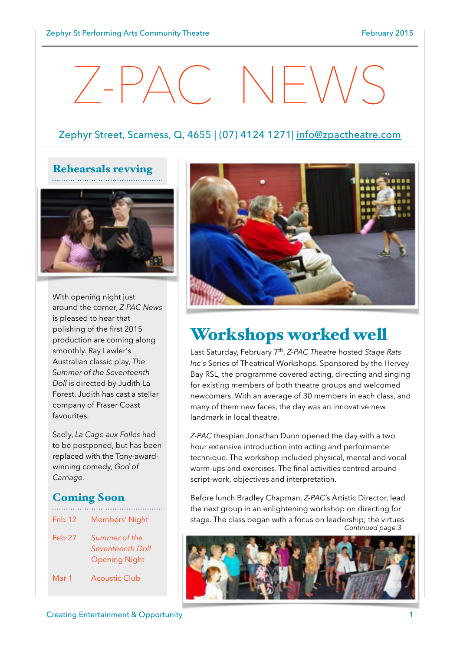# Z-PAC NEWS

#### Zephyr Street, Scarness, Q, 4655 | (07) 4124 1271| [info@zpactheatre.com](mailto:info@zpactheatre.com)



With opening night just around the corner, *Z-PAC News* is pleased to hear that polishing of the first 2015 production are coming along smoothly. Ray Lawler's Australian classic play, *The Summer of the Seventeenth Doll* is directed by Judith La Forest. Judith has cast a stellar company of Fraser Coast favourites.

Sadly, *La Cage aux Folles* had to be postponed, but has been replaced with the Tony-awardwinning comedy, *God of Carnage.*

#### Coming Soon

- Feb 12 Members' Night Feb 27 *Summer of the Seventeenth Doll* Opening Night
- Mar 1 Acoustic Club



## Workshops worked well

Last Saturday, February 7th, *Z-PAC Theatre* hosted *Stage Rats Inc's* Series of Theatrical Workshops. Sponsored by the Hervey Bay RSL, the programme covered acting, directing and singing for existing members of both theatre groups and welcomed newcomers. With an average of 30 members in each class, and many of them new faces, the day was an innovative new landmark in local theatre.

*Z-PAC* thespian Jonathan Dunn opened the day with a two hour extensive introduction into acting and performance technique. The workshop included physical, mental and vocal warm-ups and exercises. The final activities centred around script-work, objectives and interpretation.

Before lunch Bradley Chapman, *Z-PAC*'s Artistic Director, lead the next group in an enlightening workshop on directing for stage. The class began with a focus on leadership; the virtues *Continued page 3*

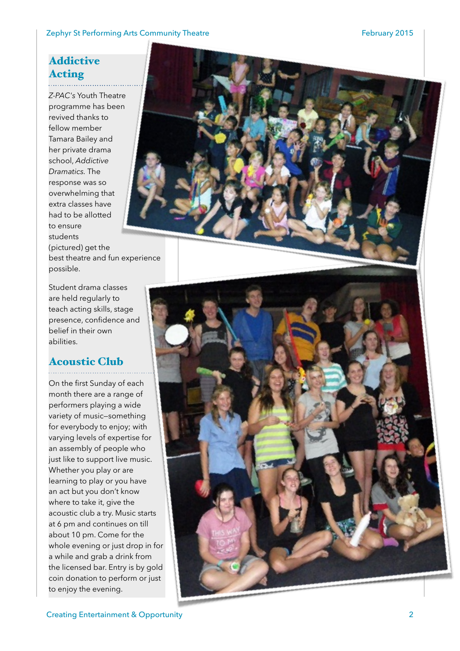#### Zephyr St Performing Arts Community Theatre February 2015

#### Addictive Acting

*Z-PAC's* Youth Theatre programme has been revived thanks to fellow member Tamara Bailey and her private drama school, *Addictive Dramatics.* The response was so overwhelming that extra classes have had to be allotted to ensure students (pictured) get the best theatre and fun experience possible.

Student drama classes are held regularly to teach acting skills, stage presence, confidence and belief in their own abilities.

### Acoustic Club

On the first Sunday of each month there are a range of performers playing a wide variety of music—something for everybody to enjoy; with varying levels of expertise for an assembly of people who just like to support live music. Whether you play or are learning to play or you have an act but you don't know where to take it, give the acoustic club a try. Music starts at 6 pm and continues on till about 10 pm. Come for the whole evening or just drop in for a while and grab a drink from the licensed bar. Entry is by gold coin donation to perform or just to enjoy the evening.



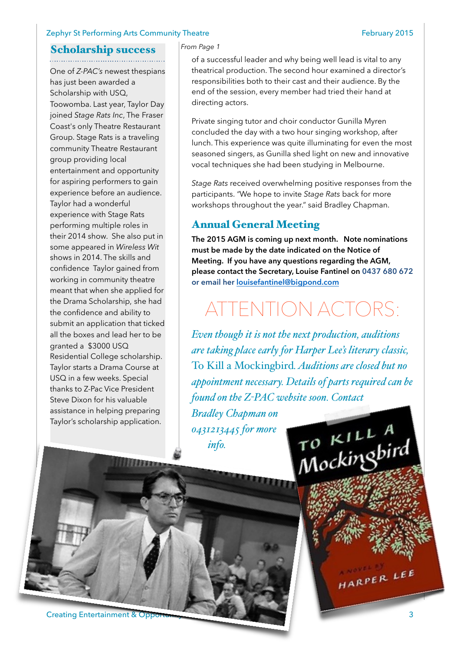#### Zephyr St Performing Arts Community Theatre February 2015

#### Scholarship success

One of *Z-PAC's* newest thespians has just been awarded a Scholarship with USQ, Toowomba. Last year, Taylor Day joined *Stage Rats Inc*, The Fraser Coast's only Theatre Restaurant Group. Stage Rats is a traveling community Theatre Restaurant group providing local entertainment and opportunity for aspiring performers to gain experience before an audience. Taylor had a wonderful experience with Stage Rats performing multiple roles in their 2014 show. She also put in some appeared in *Wireless Wit*  shows in 2014. The skills and confidence Taylor gained from working in community theatre meant that when she applied for the Drama Scholarship, she had the confidence and ability to submit an application that ticked all the boxes and lead her to be granted a \$3000 USQ Residential College scholarship. Taylor starts a Drama Course at USQ in a few weeks. Special thanks to Z-Pac Vice President Steve Dixon for his valuable assistance in helping preparing Taylor's scholarship application.

#### *From Page 1*

of a successful leader and why being well lead is vital to any theatrical production. The second hour examined a director's responsibilities both to their cast and their audience. By the end of the session, every member had tried their hand at directing actors.

Private singing tutor and choir conductor Gunilla Myren concluded the day with a two hour singing workshop, after lunch. This experience was quite illuminating for even the most seasoned singers, as Gunilla shed light on new and innovative vocal techniques she had been studying in Melbourne.

*Stage Rats* received overwhelming positive responses from the participants. *"*We hope to invite *Stage Rats* back for more workshops throughout the year." said Bradley Chapman.

#### Annual General Meeting

**The 2015 AGM is coming up next month. Note nominations must be made by the date indicated on the Notice of Meeting. If you have any questions regarding the AGM, please contact the Secretary, Louise Fantinel on 0437 680 672 or email her [louisefantinel@bigpond.com](mailto:louisefantinel@bigpond.com)**

# ATTENTION ACTORS:

*Even though it is not the next production, auditions are taking place early for Harper Lee's literary classic,*  To Kill a Mockingbird*. Auditions are closed but no appointment necessary. Details of parts required can be found on the Z-PAC website soon. Contact* 

To KILLA<br>Mockingbird

*Bradley Chapman on 0431213445 for more info.*

**Creating Entertainment & Opportunity 3** 3

HARPER LEE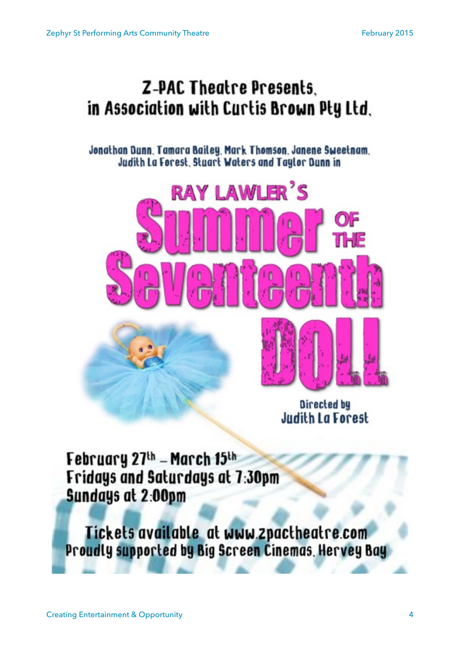# **Z-PAC Theatre Presents.** in Association with Curtis Brown Pty Ltd.

Jonathan Dunn, Tamara Bailey, Mark Thomson, Janene Sweetnam, Judith La Forest, Stuart Waters and Taylor Dunn in





Directed by **Judith La Forest** 

February 27th - March 15th Fridays and Saturdays at 7:30pm Sundays at 2:00pm

Tickets available at www.zpactheatre.com Proudly supported by Big Screen Cinemas, Hervey Bay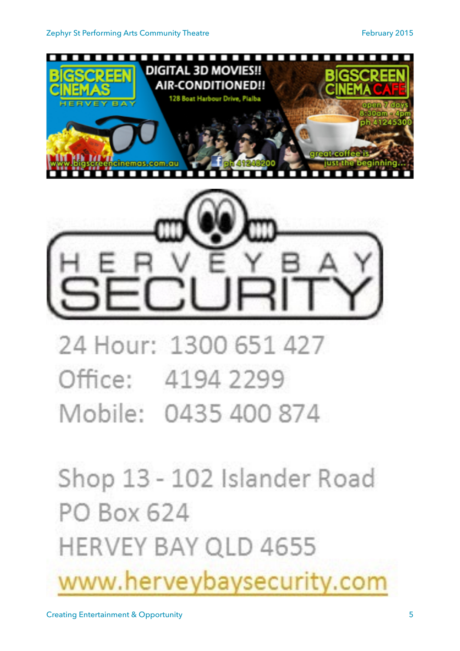



24 Hour: 1300 651 427 Office: 4194 2299 Mobile: 0435 400 874

Shop 13 - 102 Islander Road PO Box 624 **HERVEY BAY QLD 4655** www.herveybaysecurity.com